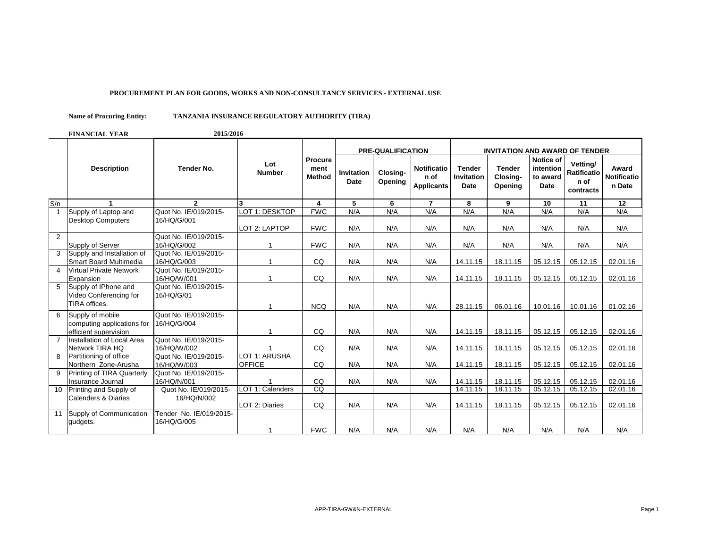## **PROCUREMENT PLAN FOR GOODS, WORKS AND NON-CONSULTANCY SERVICES - EXTERNAL USE**

## **TANZANIA INSURANCE REGULATORY AUTHORITY (TIRA) Name of Procuring Entity:**

**FINANCIAL YEAR 2015/2016**

|                 |                                |                         |                      |                                  |                                  | <b>PRE-QUALIFICATION</b> |                                                 | <b>INVITATION AND AWARD OF TENDER</b>      |                                      |                                            |                                                     |                                |
|-----------------|--------------------------------|-------------------------|----------------------|----------------------------------|----------------------------------|--------------------------|-------------------------------------------------|--------------------------------------------|--------------------------------------|--------------------------------------------|-----------------------------------------------------|--------------------------------|
|                 | <b>Description</b>             | <b>Tender No.</b>       | Lot<br><b>Number</b> | Procure<br>ment<br><b>Method</b> | <b>Invitation</b><br><b>Date</b> | Closing-<br>Opening      | <b>Notificatio</b><br>n of<br><b>Applicants</b> | <b>Tender</b><br>Invitation<br><b>Date</b> | <b>Tender</b><br>Closing-<br>Opening | Notice of<br>intention<br>to award<br>Date | Vettina/<br><b>Ratificatio</b><br>n of<br>contracts | Award<br>Notificatio<br>n Date |
| S/n             |                                | $\overline{2}$          | 3                    | 4                                | 5                                | 6                        | $\overline{7}$                                  | 8                                          | 9                                    | 10                                         | 11                                                  | 12                             |
| $\overline{1}$  | Supply of Laptop and           | Quot No. IE/019/2015-   | LOT 1: DESKTOP       | <b>FWC</b>                       | N/A                              | N/A                      | N/A                                             | N/A                                        | N/A                                  | N/A                                        | N/A                                                 | N/A                            |
|                 | <b>Desktop Computers</b>       | 16/HQ/G/001             |                      |                                  |                                  |                          |                                                 |                                            |                                      |                                            |                                                     |                                |
|                 |                                |                         | LOT 2: LAPTOP        | <b>FWC</b>                       | N/A                              | N/A                      | N/A                                             | N/A                                        | N/A                                  | N/A                                        | N/A                                                 | N/A                            |
| 2               |                                | Quot No. IE/019/2015-   |                      |                                  |                                  |                          |                                                 |                                            |                                      |                                            |                                                     |                                |
|                 | Supply of Server               | 16/HQ/G/002             |                      | <b>FWC</b>                       | N/A                              | N/A                      | N/A                                             | N/A                                        | N/A                                  | N/A                                        | N/A                                                 | N/A                            |
| 3               | Supply and Installation of     | Quot No. IE/019/2015-   |                      |                                  |                                  |                          |                                                 |                                            |                                      |                                            |                                                     |                                |
|                 | Smart Board Multimedia         | 16/HQ/G/003             |                      | CQ                               | N/A                              | N/A                      | N/A                                             | 14.11.15                                   | 18.11.15                             | 05.12.15                                   | 05.12.15                                            | 02.01.16                       |
| $\overline{4}$  | <b>Virtual Private Network</b> | Quot No. IE/019/2015-   |                      |                                  |                                  |                          |                                                 |                                            |                                      |                                            |                                                     |                                |
|                 | Expansion                      | 16/HQ/W/001             |                      | CQ                               | N/A                              | N/A                      | N/A                                             | 14.11.15                                   | 18.11.15                             | 05.12.15                                   | 05.12.15                                            | 02.01.16                       |
| 5               | Supply of IPhone and           | Quot No. IE/019/2015-   |                      |                                  |                                  |                          |                                                 |                                            |                                      |                                            |                                                     |                                |
|                 | Video Conferencing for         | 16/HQ/G/01              |                      |                                  |                                  |                          |                                                 |                                            |                                      |                                            |                                                     |                                |
|                 | TIRA offices.                  |                         |                      | <b>NCQ</b>                       | N/A                              | N/A                      | N/A                                             | 28.11.15                                   | 06.01.16                             | 10.01.16                                   | 10.01.16                                            | 01.02.16                       |
| 6               | Supply of mobile               | Quot No. IE/019/2015-   |                      |                                  |                                  |                          |                                                 |                                            |                                      |                                            |                                                     |                                |
|                 | computing applications for     | 16/HQ/G/004             |                      |                                  |                                  |                          |                                                 |                                            |                                      |                                            |                                                     |                                |
|                 | efficient supervision          |                         |                      | CQ                               | N/A                              | N/A                      | N/A                                             | 14.11.15                                   | 18.11.15                             | 05.12.15                                   | 05.12.15                                            | 02.01.16                       |
| $\overline{7}$  | Installation of Local Area     | Quot No. IE/019/2015-   |                      |                                  |                                  |                          |                                                 |                                            |                                      |                                            |                                                     |                                |
|                 | Network TIRA HQ                | 16/HQ/W/002             |                      | CQ                               | N/A                              | N/A                      | N/A                                             | 14.11.15                                   | 18.11.15                             | 05.12.15                                   | 05.12.15                                            | 02.01.16                       |
| 8               | Partitioning of office         | Quot No. IE/019/2015-   | LOT 1: ARUSHA        |                                  |                                  |                          |                                                 |                                            |                                      |                                            |                                                     |                                |
|                 | Northern Zone-Arusha           | 16/HQ/W/003             | <b>OFFICE</b>        | CQ                               | N/A                              | N/A                      | N/A                                             | 14.11.15                                   | 18.11.15                             | 05.12.15                                   | 05.12.15                                            | 02.01.16                       |
| 9               | Printing of TIRA Quarterly     | Quot No. IE/019/2015-   |                      |                                  |                                  |                          |                                                 |                                            |                                      |                                            |                                                     |                                |
|                 | Insurance Journal              | 16/HQ/N/001             |                      | CQ                               | N/A                              | N/A                      | N/A                                             | 14.11.15                                   | 18.11.15                             | 05.12.15                                   | 05.12.15                                            | 02.01.16                       |
| 10 <sup>1</sup> | Printing and Supply of         | Quot No. IE/019/2015-   | LOT 1: Calenders     | $\overline{c}$                   |                                  |                          |                                                 | 14.11.15                                   | 18.11.15                             | 05.12.15                                   | 05.12.15                                            | 02.01.16                       |
|                 | Calenders & Diaries            | 16/HQ/N/002             | LOT 2: Diaries       | CQ                               | N/A                              | N/A                      | N/A                                             | 14.11.15                                   | 18.11.15                             | 05.12.15                                   | 05.12.15                                            | 02.01.16                       |
|                 | 11 Supply of Communication     | Tender No. IE/019/2015- |                      |                                  |                                  |                          |                                                 |                                            |                                      |                                            |                                                     |                                |
|                 | gudgets.                       | 16/HQ/G/005             |                      |                                  |                                  |                          |                                                 |                                            |                                      |                                            |                                                     |                                |
|                 |                                |                         |                      | <b>FWC</b>                       | N/A                              | N/A                      | N/A                                             | N/A                                        | N/A                                  | N/A                                        | N/A                                                 | N/A                            |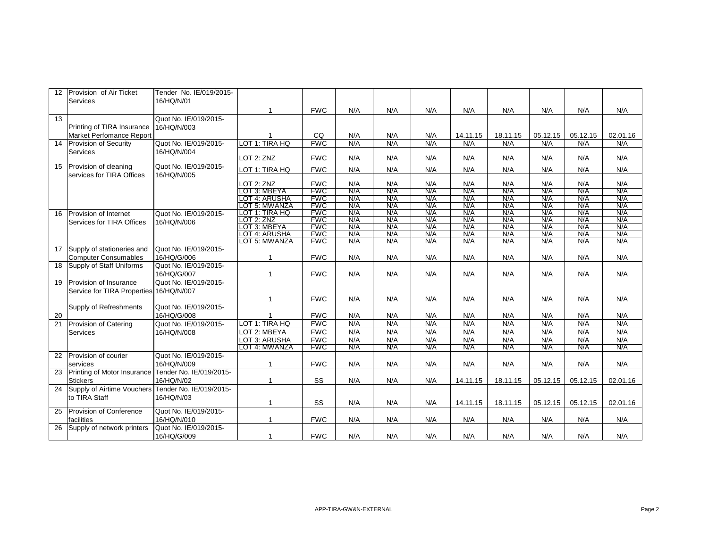| 12              | Provision of Air Ticket                            | Tender No. IE/019/2015- |                                 |                          |            |            |            |            |            |            |            |            |
|-----------------|----------------------------------------------------|-------------------------|---------------------------------|--------------------------|------------|------------|------------|------------|------------|------------|------------|------------|
|                 | Services                                           | 16/HQ/N/01              |                                 |                          |            |            |            |            |            |            |            |            |
|                 |                                                    |                         |                                 | <b>FWC</b>               | N/A        | N/A        | N/A        | N/A        | N/A        | N/A        | N/A        | N/A        |
| $\overline{13}$ |                                                    | Quot No. IE/019/2015-   |                                 |                          |            |            |            |            |            |            |            |            |
|                 | Printing of TIRA Insurance                         | 16/HQ/N/003             |                                 |                          |            |            |            |            |            |            |            |            |
|                 | Market Perfomance Report                           |                         |                                 | CQ                       | N/A        | N/A        | N/A        | 14.11.15   | 18.11.15   | 05.12.15   | 05.12.15   | 02.01.16   |
| 14              | Provision of Security                              | Quot No. IE/019/2015-   | LOT 1: TIRA HQ                  | <b>FWC</b>               | N/A        | N/A        | N/A        | N/A        | N/A        | N/A        | N/A        | N/A        |
|                 | Services                                           | 16/HQ/N/004             | LOT 2: ZNZ                      | <b>FWC</b>               | N/A        | N/A        | N/A        | N/A        | N/A        | N/A        | N/A        | N/A        |
| 15              | Provision of cleaning                              | Quot No. IE/019/2015-   | LOT 1: TIRA HQ                  | <b>FWC</b>               | N/A        | N/A        | N/A        | N/A        | N/A        | N/A        | N/A        | N/A        |
|                 | services for TIRA Offices                          | 16/HQ/N/005             |                                 |                          |            |            |            |            |            |            |            |            |
|                 |                                                    |                         | LOT 2: ZNZ                      | <b>FWC</b>               | N/A        | N/A        | N/A        | N/A        | N/A        | N/A        | N/A        | N/A        |
|                 |                                                    |                         | LOT 3: MBEYA                    | <b>FWC</b>               | N/A        | N/A        | N/A        | N/A        | N/A        | N/A        | N/A        | N/A        |
|                 |                                                    |                         | LOT 4: ARUSHA                   | <b>FWC</b>               | N/A        | N/A        | N/A        | N/A        | N/A        | N/A        | N/A        | N/A        |
|                 |                                                    |                         | LOT 5: MWANZA<br>LOT 1: TIRA HQ | <b>FWC</b><br><b>FWC</b> | N/A<br>N/A | N/A<br>N/A | N/A<br>N/A | N/A<br>N/A | N/A<br>N/A | N/A<br>N/A | N/A<br>N/A | N/A<br>N/A |
| 16              | Provision of Internet                              | Quot No. IE/019/2015-   | LOT 2: ZNZ                      | <b>FWC</b>               | N/A        | N/A        | N/A        | N/A        | N/A        | N/A        | N/A        | N/A        |
|                 | Services for TIRA Offices                          | 16/HQ/N/006             | LOT 3: MBEYA                    | <b>FWC</b>               | N/A        | N/A        | N/A        | N/A        | N/A        | N/A        | N/A        | N/A        |
|                 |                                                    |                         | LOT 4: ARUSHA                   | <b>FWC</b>               | N/A        | N/A        | N/A        | N/A        | N/A        | N/A        | N/A        | N/A        |
|                 |                                                    |                         | LOT 5: MWANZA                   | <b>FWC</b>               | N/A        | N/A        | N/A        | N/A        | N/A        | N/A        | N/A        | N/A        |
| 17              | Supply of stationeries and                         | Quot No. IE/019/2015-   |                                 |                          |            |            |            |            |            |            |            |            |
|                 | <b>Computer Consumables</b>                        | 16/HQ/G/006             |                                 | <b>FWC</b>               | N/A        | N/A        | N/A        | N/A        | N/A        | N/A        | N/A        | N/A        |
| 18              | Supply of Staff Uniforms                           | Quot No. IE/019/2015-   |                                 |                          |            |            |            |            |            |            |            |            |
|                 |                                                    | 16/HQ/G/007             |                                 | <b>FWC</b>               | N/A        | N/A        | N/A        | N/A        | N/A        | N/A        | N/A        | N/A        |
| 19              | Provision of Insurance                             | Quot No. IE/019/2015-   |                                 |                          |            |            |            |            |            |            |            |            |
|                 | Service for TIRA Properties 16/HQ/N/007            |                         |                                 |                          |            |            |            |            |            |            |            |            |
|                 |                                                    |                         |                                 | <b>FWC</b>               | N/A        | N/A        | N/A        | N/A        | N/A        | N/A        | N/A        | N/A        |
|                 | Supply of Refreshments                             | Quot No. IE/019/2015-   |                                 |                          |            |            |            |            |            |            |            |            |
| 20              |                                                    | 16/HQ/G/008             |                                 | <b>FWC</b>               | N/A        | N/A        | N/A        | N/A        | N/A        | N/A        | N/A        | N/A        |
| $\overline{21}$ | Provision of Catering                              | Quot No. IE/019/2015-   | LOT 1: TIRA HQ                  | <b>FWC</b>               | N/A        | N/A        | N/A        | N/A        | N/A        | N/A        | N/A        | N/A        |
|                 | Services                                           | 16/HQ/N/008             | LOT 2: MBEYA                    | <b>FWC</b>               | N/A        | N/A        | N/A        | N/A        | N/A        | N/A        | N/A        | N/A        |
|                 |                                                    |                         | LOT 3: ARUSHA                   | <b>FWC</b>               | N/A        | N/A        | N/A        | N/A        | N/A        | N/A        | N/A        | N/A        |
|                 |                                                    |                         | LOT 4: MWANZA                   | <b>FWC</b>               | N/A        | N/A        | N/A        | N/A        | N/A        | N/A        | N/A        | N/A        |
| 22              | Provision of courier                               | Quot No. IE/019/2015-   |                                 |                          |            |            |            |            |            |            |            |            |
|                 | services                                           | 16/HQ/N/009             |                                 | <b>FWC</b>               | N/A        | N/A        | N/A        | N/A        | N/A        | N/A        | N/A        | N/A        |
| 23              | Printing of Motor Insurance                        | Tender No. IE/019/2015- |                                 |                          |            |            |            |            |            |            |            |            |
|                 | <b>Stickers</b>                                    | 16/HQ/N/02              | 1                               | SS                       | N/A        | N/A        | N/A        | 14.11.15   | 18.11.15   | 05.12.15   | 05.12.15   | 02.01.16   |
| 24              | Supply of Airtime Vouchers Tender No. IE/019/2015- |                         |                                 |                          |            |            |            |            |            |            |            |            |
|                 | to TIRA Staff                                      | 16/HQ/N/03              |                                 |                          |            |            |            |            |            |            |            |            |
|                 |                                                    |                         | -1                              | SS                       | N/A        | N/A        | N/A        | 14.11.15   | 18.11.15   | 05.12.15   | 05.12.15   | 02.01.16   |
| 25              | Provision of Conference                            | Quot No. IE/019/2015-   |                                 |                          |            |            |            |            |            |            |            |            |
|                 | facilities                                         | 16/HQ/N/010             | $\overline{1}$                  | <b>FWC</b>               | N/A        | N/A        | N/A        | N/A        | N/A        | N/A        | N/A        | N/A        |
| 26              | Supply of network printers                         | Quot No. IE/019/2015-   |                                 |                          |            |            |            |            |            |            |            |            |
|                 |                                                    | 16/HQ/G/009             | -1                              | <b>FWC</b>               | N/A        | N/A        | N/A        | N/A        | N/A        | N/A        | N/A        | N/A        |